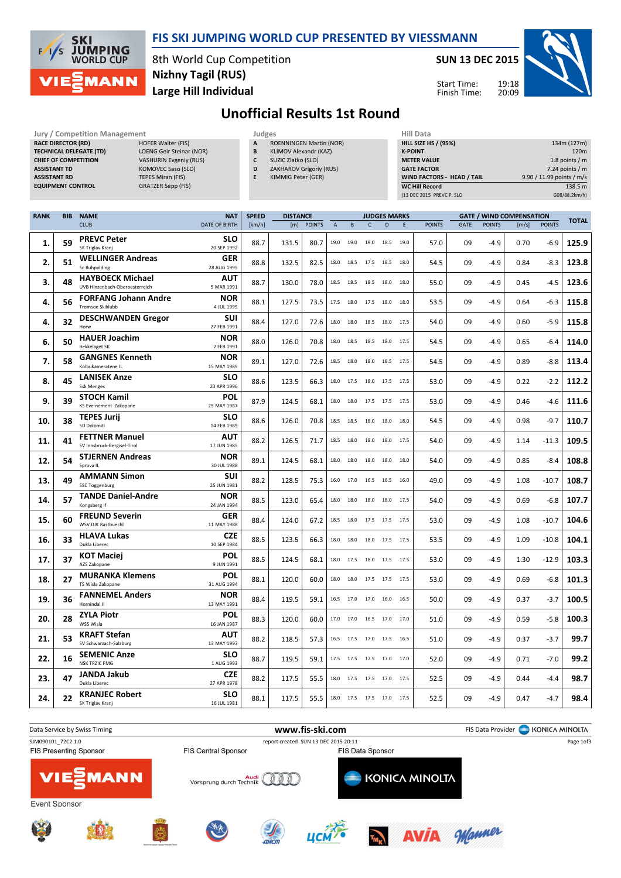

TECHNICAL DELEGATE (TD) LOENG Geir Steinar (NOR) CHIEF OF COMPETITION VASHURIN Evgeniy (RUS) ASSISTANT TD KOMOVEC Saso (SLO)

RACE DIRECTOR (RD)

## FIS SKI JUMPING WORLD CUP PRESENTED BY VIESSMANN

8th World Cup Competition Large Hill Individual Nizhny Tagil (RUS)

Jury / Competition Management **Judges** Judges **Hill Data**<br> **RACE DIRECTOR (RD)** HILL SIZE HOFER Walter (FIS) **A** ROENNINGEN Martin (NOR) HILL SIZE HILL SIZE H

SUN 13 DEC 2015



HILL SIZE HS / (95%) 134m (127m) **K-POINT** 220m METER VALUE 1.8 points / m GATE FACTOR 7.24 points / m



## Unofficial Results 1st Round

ROENNINGEN Martin (NOR) B KLIMOV Alexandr (KAZ) C SUZIC Zlatko (SLO) D ZAKHAROV Grigoriy (RUS)

| <b>ASSISTANT RD</b><br><b>TEPES Miran (FIS)</b><br><b>EQUIPMENT CONTROL</b><br><b>GRATZER Sepp (FIS)</b> |            |                                                           | E<br>KIMMIG Peter (GER)   |              |                 |               |             |      |                          | WIND FACTORS - HEAD / TAIL<br><b>WC Hill Record</b><br>(13 DEC 2015 PREVC P. SLO |      | 9.90 / 11.99 points / m/s<br>138.5 m<br>G08/88.2km/h) |             |               |                                 |               |              |
|----------------------------------------------------------------------------------------------------------|------------|-----------------------------------------------------------|---------------------------|--------------|-----------------|---------------|-------------|------|--------------------------|----------------------------------------------------------------------------------|------|-------------------------------------------------------|-------------|---------------|---------------------------------|---------------|--------------|
|                                                                                                          |            |                                                           |                           |              |                 |               |             |      |                          |                                                                                  |      |                                                       |             |               |                                 |               |              |
| <b>RANK</b>                                                                                              | <b>BIB</b> | <b>NAME</b><br><b>CLUB</b>                                | <b>NAT</b>                | <b>SPEED</b> | <b>DISTANCE</b> |               |             |      |                          | <b>JUDGES MARKS</b>                                                              |      |                                                       |             |               | <b>GATE / WIND COMPENSATION</b> |               | <b>TOTAL</b> |
|                                                                                                          |            |                                                           | DATE OF BIRTH             | [km/h]       | [m]             | <b>POINTS</b> | $\mathsf A$ | B    | $\mathsf{C}$             | D                                                                                | E    | <b>POINTS</b>                                         | <b>GATE</b> | <b>POINTS</b> | [m/s]                           | <b>POINTS</b> |              |
| 1.                                                                                                       | 59         | <b>PREVC Peter</b><br>SK Triglav Krani                    | <b>SLO</b><br>20 SEP 1992 | 88.7         | 131.5           | 80.7          | 19.0        | 19.0 | 19.0                     | 18.5                                                                             | 19.0 | 57.0                                                  | 09          | $-4.9$        | 0.70                            | $-6.9$        | 125.9        |
| 2.                                                                                                       | 51         | <b>WELLINGER Andreas</b><br><b>Sc Ruhpolding</b>          | <b>GER</b><br>28 AUG 1995 | 88.8         | 132.5           | 82.5          | 18.0        |      | 18.5 17.5 18.5           |                                                                                  | 18.0 | 54.5                                                  | 09          | $-4.9$        | 0.84                            | $-8.3$        | 123.8        |
| 3.                                                                                                       | 48         | <b>HAYBOECK Michael</b><br>UVB Hinzenbach-Oberoesterreich | <b>AUT</b><br>5 MAR 1991  | 88.7         | 130.0           | 78.0          | 18.5        |      | 18.5 18.5 18.0           |                                                                                  | 18.0 | 55.0                                                  | 09          | $-4.9$        | 0.45                            | $-4.5$        | 123.6        |
| 4.                                                                                                       | 56         | <b>FORFANG Johann Andre</b><br><b>Tromsoe Skiklubb</b>    | <b>NOR</b><br>4 JUL 1995  | 88.1         | 127.5           | 73.5          | 17.5        | 18.0 | 17.5                     | 18.0                                                                             | 18.0 | 53.5                                                  | 09          | $-4.9$        | 0.64                            | $-6.3$        | 115.8        |
| 4.                                                                                                       | 32         | <b>DESCHWANDEN Gregor</b><br>Horw                         | SUI<br>27 FEB 1991        | 88.4         | 127.0           | 72.6          | 18.0        | 18.0 | 18.5                     | 18.0                                                                             | 17.5 | 54.0                                                  | 09          | $-4.9$        | 0.60                            | $-5.9$        | 115.8        |
| 6.                                                                                                       | 50         | <b>HAUER Joachim</b><br><b>Bekkelaget SK</b>              | <b>NOR</b><br>2 FEB 1991  | 88.0         | 126.0           | 70.8          | 18.0        | 18.5 | 18.5                     | 18.0                                                                             | 17.5 | 54.5                                                  | 09          | $-4.9$        | 0.65                            | $-6.4$        | 114.0        |
| 7.                                                                                                       | 58         | <b>GANGNES Kenneth</b><br>Kolbukameratene IL              | <b>NOR</b><br>15 MAY 1989 | 89.1         | 127.0           | 72.6          | 18.5        | 18.0 | 18.0 18.5                |                                                                                  | 17.5 | 54.5                                                  | 09          | $-4.9$        | 0.89                            | $-8.8$        | 113.4        |
| 8.                                                                                                       | 45         | <b>LANISEK Anze</b><br><b>Ssk Menges</b>                  | <b>SLO</b><br>20 APR 1996 | 88.6         | 123.5           | 66.3          | 18.0        |      | 17.5 18.0 17.5           |                                                                                  | 17.5 | 53.0                                                  | 09          | $-4.9$        | 0.22                            | $-2.2$        | 112.2        |
| 9.                                                                                                       | 39         | <b>STOCH Kamil</b><br>KS Eve-nement Zakopane              | POL<br>25 MAY 1987        | 87.9         | 124.5           | 68.1          | 18.0        | 18.0 | 17.5 17.5                |                                                                                  | 17.5 | 53.0                                                  | 09          | $-4.9$        | 0.46                            | $-4.6$        | 111.6        |
| 10.                                                                                                      | 38         | <b>TEPES Jurij</b><br>SD Dolomiti                         | <b>SLO</b><br>14 FEB 1989 | 88.6         | 126.0           | 70.8          | 18.5        | 18.5 | 18.0                     | 18.0                                                                             | 18.0 | 54.5                                                  | 09          | $-4.9$        | 0.98                            | $-9.7$        | 110.7        |
| 11.                                                                                                      | 41         | <b>FETTNER Manuel</b><br>SV Innsbruck-Bergisel-Tirol      | AUT<br>17 JUN 1985        | 88.2         | 126.5           | 71.7          | 18.5        |      | 18.0 18.0 18.0 17.5      |                                                                                  |      | 54.0                                                  | 09          | $-4.9$        | 1.14                            | $-11.3$       | 109.5        |
| 12.                                                                                                      | 54         | <b>STJERNEN Andreas</b><br>Sprova IL                      | <b>NOR</b><br>30 JUL 1988 | 89.1         | 124.5           | 68.1          | 18.0        | 18.0 | 18.0 18.0                |                                                                                  | 18.0 | 54.0                                                  | 09          | $-4.9$        | 0.85                            | -8.4          | 108.8        |
| 13.                                                                                                      | 49         | <b>AMMANN Simon</b><br><b>SSC Toggenburg</b>              | SUI<br>25 JUN 1981        | 88.2         | 128.5           | 75.3          | 16.0        | 17.0 | 16.5                     | 16.5                                                                             | 16.0 | 49.0                                                  | 09          | $-4.9$        | 1.08                            | $-10.7$       | 108.7        |
| 14.                                                                                                      | 57         | <b>TANDE Daniel-Andre</b><br>Kongsberg If                 | <b>NOR</b><br>24 JAN 1994 | 88.5         | 123.0           | 65.4          | 18.0        | 18.0 | 18.0                     | 18.0                                                                             | 17.5 | 54.0                                                  | 09          | $-4.9$        | 0.69                            | $-6.8$        | 107.7        |
| 15.                                                                                                      | 60         | <b>FREUND Severin</b><br><b>WSV DJK Rastbuechl</b>        | <b>GER</b><br>11 MAY 1988 | 88.4         | 124.0           | 67.2          | 18.5        |      | 18.0 17.5 17.5 17.5      |                                                                                  |      | 53.0                                                  | 09          | $-4.9$        | 1.08                            | $-10.7$       | 104.6        |
| 16.                                                                                                      | 33         | <b>HLAVA Lukas</b><br>Dukla Liberec                       | <b>CZE</b><br>10 SEP 1984 | 88.5         | 123.5           | 66.3          | 18.0        |      | 18.0 18.0 17.5 17.5      |                                                                                  |      | 53.5                                                  | 09          | $-4.9$        | 1.09                            | $-10.8$       | 104.1        |
| 17.                                                                                                      | 37         | <b>KOT Maciej</b><br>AZS Zakopane                         | <b>POL</b><br>9 JUN 1991  | 88.5         | 124.5           | 68.1          | 18.0        | 17.5 | 18.0 17.5                |                                                                                  | 17.5 | 53.0                                                  | 09          | $-4.9$        | 1.30                            | $-12.9$       | 103.3        |
| 18.                                                                                                      | 27         | <b>MURANKA Klemens</b><br>TS Wisla Zakopane               | POL<br>31 AUG 1994        | 88.1         | 120.0           | 60.0          | 18.0        | 18.0 | 17.5 17.5                |                                                                                  | 17.5 | 53.0                                                  | 09          | $-4.9$        | 0.69                            | $-6.8$        | 101.3        |
| 19.                                                                                                      | 36         | <b>FANNEMEL Anders</b><br>Hornindal II                    | <b>NOR</b><br>13 MAY 1991 | 88.4         | 119.5           | 59.1          | 16.5        | 17.0 | 17.0                     | 16.0                                                                             | 16.5 | 50.0                                                  | 09          | $-4.9$        | 0.37                            | $-3.7$        | 100.5        |
| 20.                                                                                                      | 28         | <b>ZYLA Piotr</b><br>WSS Wisla                            | <b>POL</b><br>16 JAN 1987 | 88.3         | 120.0           | 60.0          |             |      | 17.0 17.0 16.5 17.0 17.0 |                                                                                  |      | 51.0                                                  | 09          | $-4.9$        | 0.59                            | $-5.8$        | 100.3        |
| 21.                                                                                                      | 53         | <b>KRAFT Stefan</b><br>SV Schwarzach-Salzburg             | AUT<br>13 MAY 1993        | 88.2         | 118.5           | 57.3          |             |      | 16.5 17.5 17.0 17.5 16.5 |                                                                                  |      | 51.0                                                  | 09          | $-4.9$        | 0.37                            | $-3.7$        | 99.7         |
| 22.                                                                                                      | 16         | <b>SEMENIC Anze</b><br><b>NSK TRZIC FMG</b>               | <b>SLO</b><br>1 AUG 1993  | 88.7         | 119.5           | 59.1          | 17.5        |      | 17.5 17.5 17.0           |                                                                                  | 17.0 | 52.0                                                  | 09          | $-4.9$        | 0.71                            | $-7.0$        | 99.2         |
| 23.                                                                                                      | 47         | <b>JANDA Jakub</b><br>Dukla Liberec                       | <b>CZE</b><br>27 APR 1978 | 88.2         | 117.5           | 55.5          | 18.0        |      | 17.5 17.5 17.0           |                                                                                  | 17.5 | 52.5                                                  | 09          | $-4.9$        | 0.44                            | $-4.4$        | 98.7         |
| 24.                                                                                                      | 22         | <b>KRANJEC Robert</b><br>SK Triglav Kranj                 | <b>SLO</b><br>16 JUL 1981 | 88.1         | 117.5           | 55.5          |             |      | 18.0 17.5 17.5 17.0      |                                                                                  | 17.5 | 52.5                                                  | 09          | $-4.9$        | 0.47                            | $-4.7$        | 98.4         |

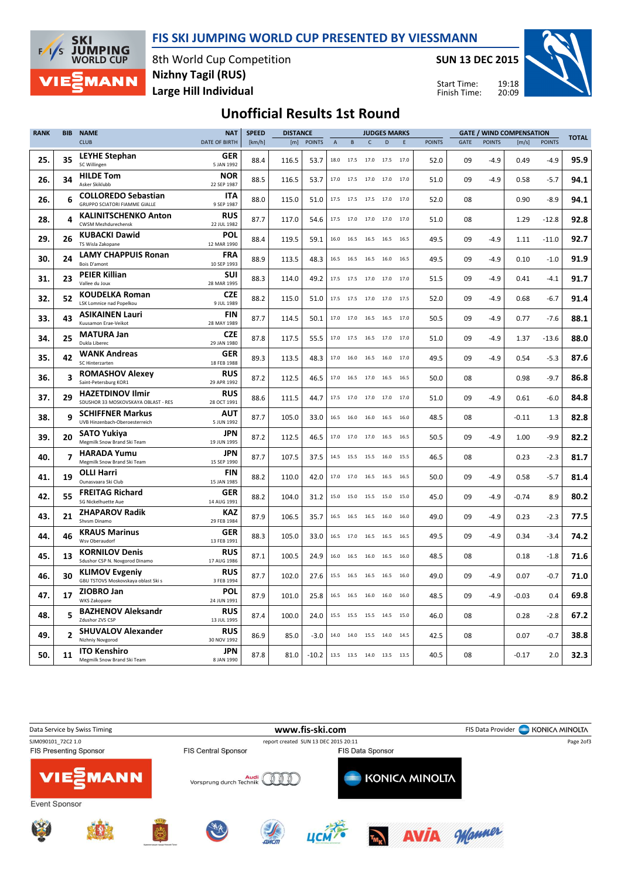FIS SKI JUMPING WORLD CUP PRESENTED BY VIESSMANN



8th World Cup Competition Large Hill Individual Nizhny Tagil (RUS)

SUN 13 DEC 2015

Start Time: Finish Time:



## Unofficial Results 1st Round

| <b>RANK</b> | <b>BIB</b>              | <b>NAME</b>                                                        | <b>NAT</b>                | <b>SPEED</b> | <b>DISTANCE</b><br><b>JUDGES MARKS</b> |               |             |           |                                                        |             |      | <b>GATE / WIND COMPENSATION</b> |      |               |         |               |              |
|-------------|-------------------------|--------------------------------------------------------------------|---------------------------|--------------|----------------------------------------|---------------|-------------|-----------|--------------------------------------------------------|-------------|------|---------------------------------|------|---------------|---------|---------------|--------------|
|             |                         | <b>CLUB</b>                                                        | DATE OF BIRTH             | [km/h]       | [m]                                    | <b>POINTS</b> | $\mathsf A$ | B         | $\mathsf{C}$                                           | $\mathsf D$ | E    | <b>POINTS</b>                   | GATE | <b>POINTS</b> | [m/s]   | <b>POINTS</b> | <b>TOTAL</b> |
| 25.         | 35                      | <b>LEYHE Stephan</b><br>SC Willingen                               | GER<br>5 JAN 1992         | 88.4         | 116.5                                  | 53.7          |             | 18.0 17.5 | 17.0 17.5 17.0                                         |             |      | 52.0                            | 09   | $-4.9$        | 0.49    | $-4.9$        | 95.9         |
| 26.         | 34                      | <b>HILDE Tom</b><br>Asker Skiklubb                                 | <b>NOR</b><br>22 SEP 1987 | 88.5         | 116.5                                  | 53.7          |             | 17.0 17.5 | 17.0 17.0                                              |             | 17.0 | 51.0                            | 09   | $-4.9$        | 0.58    | $-5.7$        | 94.1         |
| 26.         | 6                       | <b>COLLOREDO Sebastian</b><br><b>GRUPPO SCIATORI FIAMME GIALLE</b> | <b>ITA</b><br>9 SEP 1987  | 88.0         | 115.0                                  | 51.0          | 17.5        | 17.5      | 17.5                                                   | 17.0        | 17.0 | 52.0                            | 08   |               | 0.90    | $-8.9$        | 94.1         |
| 28.         | 4                       | <b>KALINITSCHENKO Anton</b><br><b>CWSM Mezhdurechensk</b>          | <b>RUS</b><br>22 JUL 1982 | 87.7         | 117.0                                  | 54.6          | 17.5        | 17.0      | 17.0                                                   | 17.0        | 17.0 | 51.0                            | 08   |               | 1.29    | $-12.8$       | 92.8         |
| 29.         | 26                      | <b>KUBACKI Dawid</b><br>TS Wisla Zakopane                          | POL<br>12 MAR 1990        | 88.4         | 119.5                                  | 59.1          | 16.0        | 16.5      | 16.5 16.5                                              |             | 16.5 | 49.5                            | 09   | $-4.9$        | 1.11    | $-11.0$       | 92.7         |
| 30.         | 24                      | <b>LAMY CHAPPUIS Ronan</b><br>Bois D'amont                         | <b>FRA</b><br>10 SEP 1993 | 88.9         | 113.5                                  | 48.3          | 16.5        | 16.5      | 16.5                                                   | 16.0        | 16.5 | 49.5                            | 09   | $-4.9$        | 0.10    | $-1.0$        | 91.9         |
| 31.         | 23                      | <b>PEIER Killian</b><br>Vallee du Joux                             | SUI<br>28 MAR 1995        | 88.3         | 114.0                                  | 49.2          | 17.5        | 17.5      | 17.0 17.0                                              |             | 17.0 | 51.5                            | 09   | $-4.9$        | 0.41    | $-4.1$        | 91.7         |
| 32.         | 52                      | <b>KOUDELKA Roman</b><br><b>LSK Lomnice nad Popelkou</b>           | <b>CZE</b><br>9 JUL 1989  | 88.2         | 115.0                                  | 51.0          | 17.5        | 17.5      | 17.0 17.0                                              |             | 17.5 | 52.0                            | 09   | $-4.9$        | 0.68    | $-6.7$        | 91.4         |
| 33.         | 43                      | <b>ASIKAINEN Lauri</b><br>Kuusamon Erae-Veikot                     | FIN<br>28 MAY 1989        | 87.7         | 114.5                                  | 50.1          |             |           | $17.0 \qquad 17.0 \qquad 16.5 \qquad 16.5 \qquad 17.0$ |             |      | 50.5                            | 09   | $-4.9$        | 0.77    | $-7.6$        | 88.1         |
| 34.         | 25                      | <b>MATURA Jan</b><br>Dukla Liberec                                 | <b>CZE</b><br>29 JAN 1980 | 87.8         | 117.5                                  | 55.5          |             |           | 17.0  17.5  16.5  17.0  17.0                           |             |      | 51.0                            | 09   | $-4.9$        | 1.37    | $-13.6$       | 88.0         |
| 35.         | 42                      | <b>WANK Andreas</b><br>SC Hinterzarten                             | <b>GER</b><br>18 FEB 1988 | 89.3         | 113.5                                  | 48.3          | 17.0        | 16.0      | 16.5                                                   | 16.0        | 17.0 | 49.5                            | 09   | $-4.9$        | 0.54    | $-5.3$        | 87.6         |
| 36.         | 3                       | <b>ROMASHOV Alexey</b><br>Saint-Petersburg KOR1                    | <b>RUS</b><br>29 APR 1992 | 87.2         | 112.5                                  | 46.5          | 17.0        | 16.5      | 17.0                                                   | 16.5        | 16.5 | 50.0                            | 08   |               | 0.98    | $-9.7$        | 86.8         |
| 37.         | 29                      | <b>HAZETDINOV Ilmir</b><br>SDUSHOR 33 MOSKOVSKAYA OBLAST - RES     | <b>RUS</b><br>28 OCT 1991 | 88.6         | 111.5                                  | 44.7          |             | 17.5 17.0 | 17.0 17.0 17.0                                         |             |      | 51.0                            | 09   | $-4.9$        | 0.61    | $-6.0$        | 84.8         |
| 38.         | 9                       | <b>SCHIFFNER Markus</b><br>UVB Hinzenbach-Oberoesterreich          | <b>AUT</b><br>5 JUN 1992  | 87.7         | 105.0                                  | 33.0          | 16.5        | 16.0      | 16.0 16.5                                              |             | 16.0 | 48.5                            | 08   |               | $-0.11$ | 1.3           | 82.8         |
| 39.         | 20                      | <b>SATO Yukiya</b><br>Megmilk Snow Brand Ski Team                  | JPN<br>19 JUN 1995        | 87.2         | 112.5                                  | 46.5          | 17.0        | 17.0      | 17.0                                                   | 16.5        | 16.5 | 50.5                            | 09   | $-4.9$        | 1.00    | $-9.9$        | 82.2         |
| 40.         | $\overline{\mathbf{z}}$ | <b>HARADA Yumu</b><br>Megmilk Snow Brand Ski Team                  | <b>JPN</b><br>15 SEP 1990 | 87.7         | 107.5                                  | 37.5          | 14.5        | 15.5      | 15.5 16.0                                              |             | 15.5 | 46.5                            | 08   |               | 0.23    | $-2.3$        | 81.7         |
| 41.         | 19                      | <b>OLLI Harri</b><br>Ounasvaara Ski Club                           | <b>FIN</b><br>15 JAN 1985 | 88.2         | 110.0                                  | 42.0          | 17.0        | 17.0      | 16.5                                                   | 16.5        | 16.5 | 50.0                            | 09   | $-4.9$        | 0.58    | $-5.7$        | 81.4         |
| 42.         | 55                      | <b>FREITAG Richard</b><br>SG Nickelhuette Aue                      | GER<br>14 AUG 1991        | 88.2         | 104.0                                  | 31.2          |             | 15.0 15.0 | 15.5 15.0 15.0                                         |             |      | 45.0                            | 09   | $-4.9$        | $-0.74$ | 8.9           | 80.2         |
| 43.         | 21                      | <b>ZHAPAROV Radik</b><br>Shysm Dinamo                              | <b>KAZ</b><br>29 FEB 1984 | 87.9         | 106.5                                  | 35.7          | 16.5        | 16.5      | 16.5 16.0                                              |             | 16.0 | 49.0                            | 09   | $-4.9$        | 0.23    | $-2.3$        | 77.5         |
| 44.         | 46                      | <b>KRAUS Marinus</b><br>Wsv Oberaudorf                             | <b>GER</b><br>13 FEB 1991 | 88.3         | 105.0                                  | 33.0          | 16.5        | 17.0      | 16.5                                                   | 16.5        | 16.5 | 49.5                            | 09   | $-4.9$        | 0.34    | $-3.4$        | 74.2         |
| 45.         | 13                      | <b>KORNILOV Denis</b><br>Sdushor CSP N. Novgorod Dinamo            | <b>RUS</b><br>17 AUG 1986 | 87.1         | 100.5                                  | 24.9          | 16.0        | 16.5      | 16.0                                                   | 16.5        | 16.0 | 48.5                            | 08   |               | 0.18    | $-1.8$        | 71.6         |
| 46.         | 30                      | <b>KLIMOV Evgeniy</b><br>GBU TSTOVS Moskovskaya oblast Ski s       | <b>RUS</b><br>3 FEB 1994  | 87.7         | 102.0                                  | 27.6          | 15.5        |           | 16.5 16.5 16.5                                         |             | 16.0 | 49.0                            | 09   | $-4.9$        | 0.07    | $-0.7$        | 71.0         |
| 47.         | 17                      | ZIOBRO Jan<br><b>WKS Zakopane</b>                                  | <b>POL</b><br>24 JUN 1991 | 87.9         | 101.0                                  | 25.8          | 16.5        |           | 16.5 16.0 16.0 16.0                                    |             |      | 48.5                            | 09   | $-4.9$        | $-0.03$ | 0.4           | 69.8         |
| 48.         | 5                       | <b>BAZHENOV Aleksandr</b><br>Zdushor ZVS CSP                       | <b>RUS</b><br>13 JUL 1995 | 87.4         | 100.0                                  | 24.0          | 15.5        | 15.5      | 15.5                                                   | 14.5        | 15.0 | 46.0                            | 08   |               | 0.28    | $-2.8$        | 67.2         |
| 49.         | $\overline{2}$          | <b>SHUVALOV Alexander</b><br>Nizhniy Novgorod                      | <b>RUS</b><br>30 NOV 1992 | 86.9         | 85.0                                   | $-3.0$        | 14.0        | 14.0      | 15.5                                                   | 14.0        | 14.5 | 42.5                            | 08   |               | 0.07    | $-0.7$        | 38.8         |
| 50.         | 11                      | <b>ITO Kenshiro</b><br>Megmilk Snow Brand Ski Team                 | <b>JPN</b><br>8 JAN 1990  | 87.8         | 81.0                                   | $-10.2$       |             |           | 13.5 13.5 14.0 13.5                                    |             | 13.5 | 40.5                            | 08   |               | -0.17   | 2.0           | 32.3         |